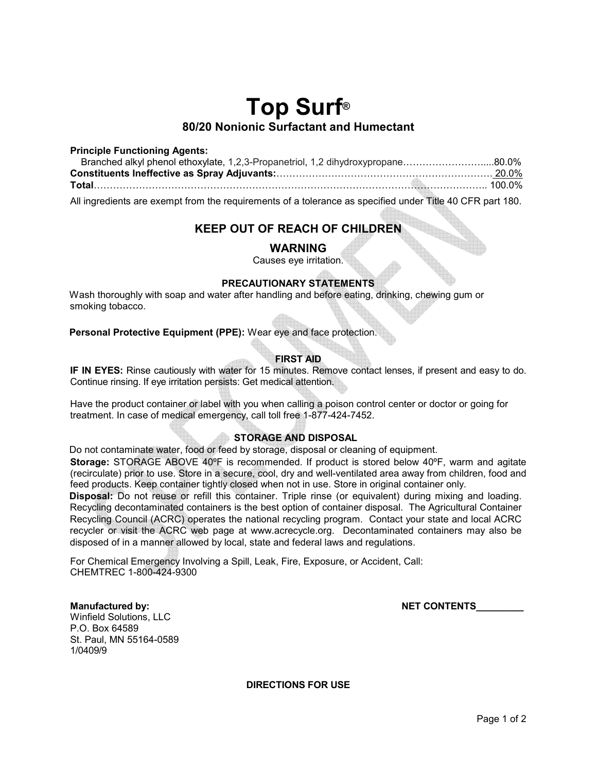# **Top Surf® 80/20 Nonionic Surfactant and Humectant**

#### **Principle Functioning Agents:**

| Branched alkyl phenol ethoxylate, 1,2,3-Propanetriol, 1,2 dihydroxypropane80.0%                           |  |
|-----------------------------------------------------------------------------------------------------------|--|
|                                                                                                           |  |
|                                                                                                           |  |
| All ingredients are exempt from the requirements of a tolerance as specified under Title 40 CFR part 180. |  |

# **KEEP OUT OF REACH OF CHILDREN**

## **WARNING**

Causes eye irritation.

## **PRECAUTIONARY STATEMENTS**

Wash thoroughly with soap and water after handling and before eating, drinking, chewing gum or smoking tobacco.

**Personal Protective Equipment (PPE):** Wear eye and face protection.

## **FIRST AID**

**IF IN EYES:** Rinse cautiously with water for 15 minutes. Remove contact lenses, if present and easy to do. Continue rinsing. If eye irritation persists: Get medical attention.

Have the product container or label with you when calling a poison control center or doctor or going for treatment. In case of medical emergency, call toll free 1-877-424-7452.

## **STORAGE AND DISPOSAL**

Do not contaminate water, food or feed by storage, disposal or cleaning of equipment.

**Storage:** STORAGE ABOVE 40ºF is recommended. If product is stored below 40ºF, warm and agitate (recirculate) prior to use. Store in a secure, cool, dry and well-ventilated area away from children, food and feed products. Keep container tightly closed when not in use. Store in original container only.

**Disposal:** Do not reuse or refill this container. Triple rinse (or equivalent) during mixing and loading. Recycling decontaminated containers is the best option of container disposal. The Agricultural Container Recycling Council (ACRC) operates the national recycling program. Contact your state and local ACRC recycler or visit the ACRC web page at www.acrecycle.org. Decontaminated containers may also be disposed of in a manner allowed by local, state and federal laws and regulations.

For Chemical Emergency Involving a Spill, Leak, Fire, Exposure, or Accident, Call: CHEMTREC 1-800-424-9300

#### **Manufactured by:** NET CONTENTS

Winfield Solutions, LLC P.O. Box 64589 St. Paul, MN 55164-0589 1/0409/9

**DIRECTIONS FOR USE**